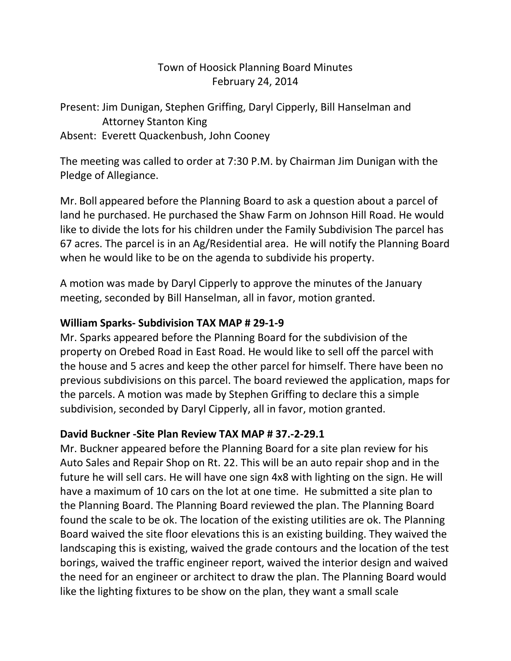## Town of Hoosick Planning Board Minutes February 24, 2014

Present: Jim Dunigan, Stephen Griffing, Daryl Cipperly, Bill Hanselman and Attorney Stanton King Absent: Everett Quackenbush, John Cooney

The meeting was called to order at 7:30 P.M. by Chairman Jim Dunigan with the Pledge of Allegiance.

Mr. Boll appeared before the Planning Board to ask a question about a parcel of land he purchased. He purchased the Shaw Farm on Johnson Hill Road. He would like to divide the lots for his children under the Family Subdivision The parcel has 67 acres. The parcel is in an Ag/Residential area. He will notify the Planning Board when he would like to be on the agenda to subdivide his property.

A motion was made by Daryl Cipperly to approve the minutes of the January meeting, seconded by Bill Hanselman, all in favor, motion granted.

## **William Sparks- Subdivision TAX MAP # 29-1-9**

Mr. Sparks appeared before the Planning Board for the subdivision of the property on Orebed Road in East Road. He would like to sell off the parcel with the house and 5 acres and keep the other parcel for himself. There have been no previous subdivisions on this parcel. The board reviewed the application, maps for the parcels. A motion was made by Stephen Griffing to declare this a simple subdivision, seconded by Daryl Cipperly, all in favor, motion granted.

## **David Buckner -Site Plan Review TAX MAP # 37.-2-29.1**

Mr. Buckner appeared before the Planning Board for a site plan review for his Auto Sales and Repair Shop on Rt. 22. This will be an auto repair shop and in the future he will sell cars. He will have one sign 4x8 with lighting on the sign. He will have a maximum of 10 cars on the lot at one time. He submitted a site plan to the Planning Board. The Planning Board reviewed the plan. The Planning Board found the scale to be ok. The location of the existing utilities are ok. The Planning Board waived the site floor elevations this is an existing building. They waived the landscaping this is existing, waived the grade contours and the location of the test borings, waived the traffic engineer report, waived the interior design and waived the need for an engineer or architect to draw the plan. The Planning Board would like the lighting fixtures to be show on the plan, they want a small scale